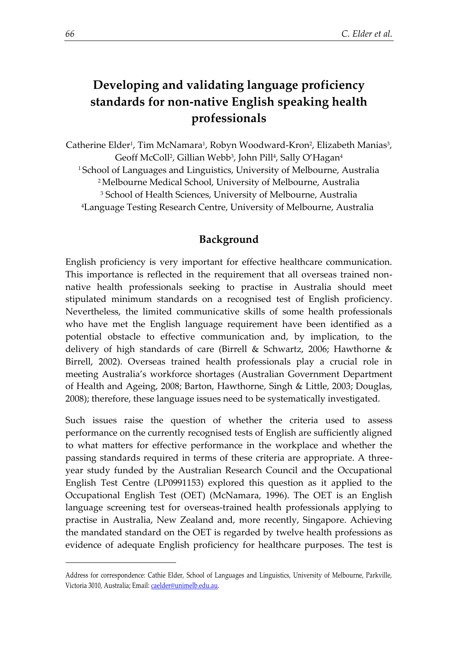# **Developing and validating language proficiency standards for non-native English speaking health professionals**

Catherine Elder<sup>1</sup>, Tim McNamara<sup>1</sup>, Robyn Woodward-Kron<sup>2</sup>, Elizabeth Manias<sup>3</sup>, Geoff McColl<sup>2</sup>, Gillian Webb<sup>3</sup>, John Pill<sup>4</sup>, Sally O'Hagan<sup>4</sup> <sup>1</sup>School of Languages and Linguistics, University of Melbourne, Australia <sup>2</sup>Melbourne Medical School, University of Melbourne, Australia <sup>3</sup> School of Health Sciences, University of Melbourne, Australia <sup>4</sup>Language Testing Research Centre, University of Melbourne, Australia

## **Background**

English proficiency is very important for effective healthcare communication. This importance is reflected in the requirement that all overseas trained nonnative health professionals seeking to practise in Australia should meet stipulated minimum standards on a recognised test of English proficiency. Nevertheless, the limited communicative skills of some health professionals who have met the English language requirement have been identified as a potential obstacle to effective communication and, by implication, to the delivery of high standards of care (Birrell & Schwartz, 2006; Hawthorne & Birrell, 2002). Overseas trained health professionals play a crucial role in meeting Australia's workforce shortages (Australian Government Department of Health and Ageing, 2008; Barton, Hawthorne, Singh & Little, 2003; Douglas, 2008); therefore, these language issues need to be systematically investigated.

Such issues raise the question of whether the criteria used to assess performance on the currently recognised tests of English are sufficiently aligned to what matters for effective performance in the workplace and whether the passing standards required in terms of these criteria are appropriate. A threeyear study funded by the Australian Research Council and the Occupational English Test Centre (LP0991153) explored this question as it applied to the Occupational English Test (OET) (McNamara, 1996). The OET is an English language screening test for overseas-trained health professionals applying to practise in Australia, New Zealand and, more recently, Singapore. Achieving the mandated standard on the OET is regarded by twelve health professions as evidence of adequate English proficiency for healthcare purposes. The test is

1

Address for correspondence: Cathie Elder, School of Languages and Linguistics, University of Melbourne, Parkville, Victoria 3010, Australia; Email: caelder@unimelb.edu.au.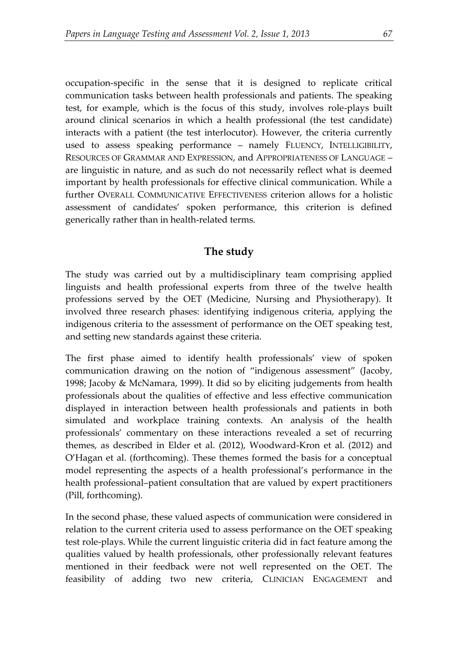occupation-specific in the sense that it is designed to replicate critical communication tasks between health professionals and patients. The speaking test, for example, which is the focus of this study, involves role-plays built around clinical scenarios in which a health professional (the test candidate) interacts with a patient (the test interlocutor). However, the criteria currently used to assess speaking performance – namely FLUENCY, INTELLIGIBILITY, RESOURCES OF GRAMMAR AND EXPRESSION, and APPROPRIATENESS OF LANGUAGE – are linguistic in nature, and as such do not necessarily reflect what is deemed important by health professionals for effective clinical communication. While a further OVERALL COMMUNICATIVE EFFECTIVENESS criterion allows for a holistic assessment of candidates' spoken performance, this criterion is defined generically rather than in health-related terms.

## **The study**

The study was carried out by a multidisciplinary team comprising applied linguists and health professional experts from three of the twelve health professions served by the OET (Medicine, Nursing and Physiotherapy). It involved three research phases: identifying indigenous criteria, applying the indigenous criteria to the assessment of performance on the OET speaking test, and setting new standards against these criteria.

The first phase aimed to identify health professionals' view of spoken communication drawing on the notion of "indigenous assessment" (Jacoby, 1998; Jacoby & McNamara, 1999). It did so by eliciting judgements from health professionals about the qualities of effective and less effective communication displayed in interaction between health professionals and patients in both simulated and workplace training contexts. An analysis of the health professionals' commentary on these interactions revealed a set of recurring themes, as described in Elder et al. (2012), Woodward-Kron et al. (2012) and O'Hagan et al. (forthcoming). These themes formed the basis for a conceptual model representing the aspects of a health professional's performance in the health professional–patient consultation that are valued by expert practitioners (Pill, forthcoming).

In the second phase, these valued aspects of communication were considered in relation to the current criteria used to assess performance on the OET speaking test role-plays. While the current linguistic criteria did in fact feature among the qualities valued by health professionals, other professionally relevant features mentioned in their feedback were not well represented on the OET. The feasibility of adding two new criteria, CLINICIAN ENGAGEMENT and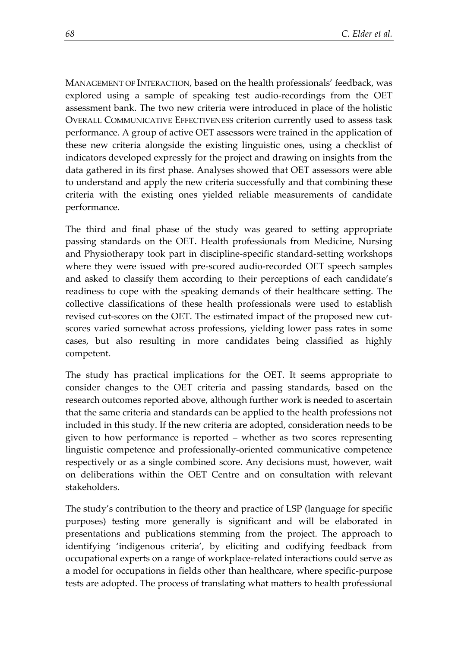MANAGEMENT OF INTERACTION, based on the health professionals' feedback, was explored using a sample of speaking test audio-recordings from the OET assessment bank. The two new criteria were introduced in place of the holistic OVERALL COMMUNICATIVE EFFECTIVENESS criterion currently used to assess task performance. A group of active OET assessors were trained in the application of these new criteria alongside the existing linguistic ones, using a checklist of indicators developed expressly for the project and drawing on insights from the data gathered in its first phase. Analyses showed that OET assessors were able to understand and apply the new criteria successfully and that combining these criteria with the existing ones yielded reliable measurements of candidate performance.

The third and final phase of the study was geared to setting appropriate passing standards on the OET. Health professionals from Medicine, Nursing and Physiotherapy took part in discipline-specific standard-setting workshops where they were issued with pre-scored audio-recorded OET speech samples and asked to classify them according to their perceptions of each candidate's readiness to cope with the speaking demands of their healthcare setting. The collective classifications of these health professionals were used to establish revised cut-scores on the OET. The estimated impact of the proposed new cutscores varied somewhat across professions, yielding lower pass rates in some cases, but also resulting in more candidates being classified as highly competent.

The study has practical implications for the OET. It seems appropriate to consider changes to the OET criteria and passing standards, based on the research outcomes reported above, although further work is needed to ascertain that the same criteria and standards can be applied to the health professions not included in this study. If the new criteria are adopted, consideration needs to be given to how performance is reported – whether as two scores representing linguistic competence and professionally-oriented communicative competence respectively or as a single combined score. Any decisions must, however, wait on deliberations within the OET Centre and on consultation with relevant stakeholders.

The study's contribution to the theory and practice of LSP (language for specific purposes) testing more generally is significant and will be elaborated in presentations and publications stemming from the project. The approach to identifying 'indigenous criteria', by eliciting and codifying feedback from occupational experts on a range of workplace-related interactions could serve as a model for occupations in fields other than healthcare, where specific-purpose tests are adopted. The process of translating what matters to health professional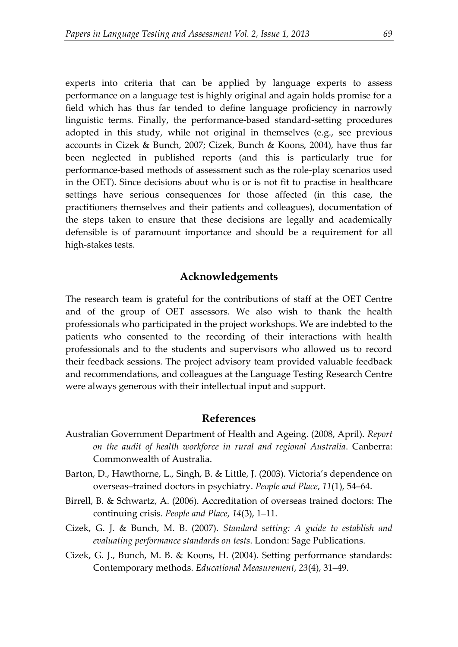experts into criteria that can be applied by language experts to assess performance on a language test is highly original and again holds promise for a field which has thus far tended to define language proficiency in narrowly linguistic terms. Finally, the performance-based standard-setting procedures adopted in this study, while not original in themselves (e.g., see previous accounts in Cizek & Bunch, 2007; Cizek, Bunch & Koons, 2004), have thus far been neglected in published reports (and this is particularly true for performance-based methods of assessment such as the role-play scenarios used in the OET). Since decisions about who is or is not fit to practise in healthcare settings have serious consequences for those affected (in this case, the practitioners themselves and their patients and colleagues), documentation of the steps taken to ensure that these decisions are legally and academically defensible is of paramount importance and should be a requirement for all high-stakes tests.

### **Acknowledgements**

The research team is grateful for the contributions of staff at the OET Centre and of the group of OET assessors. We also wish to thank the health professionals who participated in the project workshops. We are indebted to the patients who consented to the recording of their interactions with health professionals and to the students and supervisors who allowed us to record their feedback sessions. The project advisory team provided valuable feedback and recommendations, and colleagues at the Language Testing Research Centre were always generous with their intellectual input and support.

#### **References**

- Australian Government Department of Health and Ageing. (2008, April). *Report on the audit of health workforce in rural and regional Australia*. Canberra: Commonwealth of Australia.
- Barton, D., Hawthorne, L., Singh, B. & Little, J. (2003). Victoria's dependence on overseas–trained doctors in psychiatry. *People and Place*, *11*(1), 54–64.
- Birrell, B. & Schwartz, A. (2006). Accreditation of overseas trained doctors: The continuing crisis. *People and Place*, *14*(3), 1–11.
- Cizek, G. J. & Bunch, M. B. (2007). *Standard setting: A guide to establish and evaluating performance standards on tests*. London: Sage Publications.
- Cizek, G. J., Bunch, M. B. & Koons, H. (2004). Setting performance standards: Contemporary methods. *Educational Measurement*, *23*(4), 31–49.